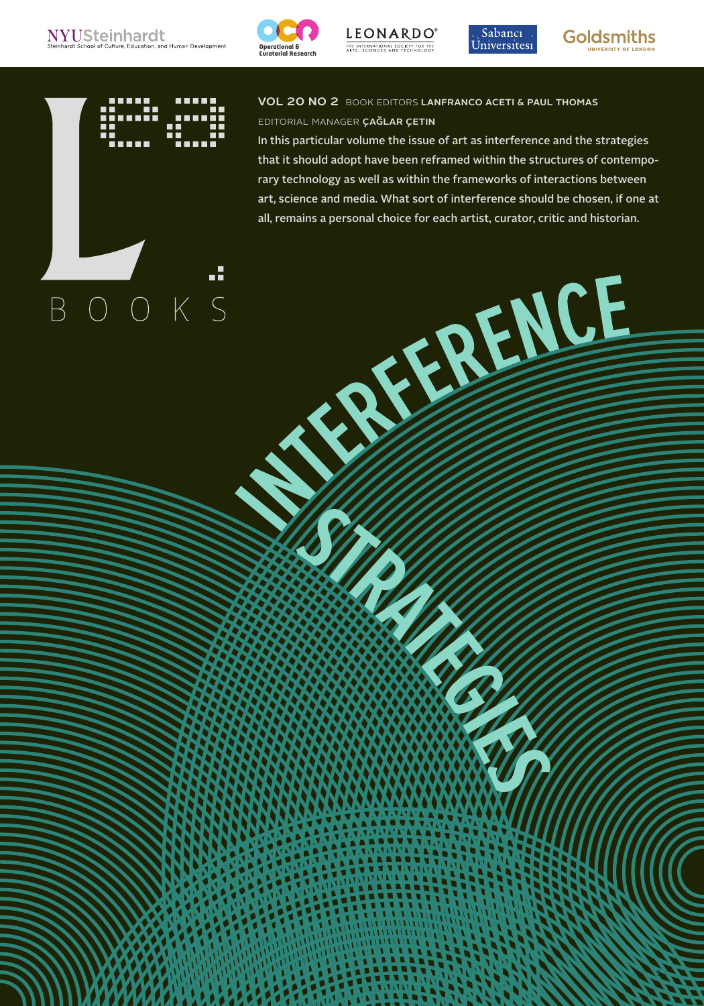

LEONARDO<sup>®</sup><br>THE INTERNATIONAL SOCIETY FOR THE<br>ARTS, SCIENCES AND TECHNOLOGY

ISSN 1071-4391 ISBN 978-1-906897-32-1 VOL 20 NO 2 LEONARDOELECTRONICALMANAC

**CONTRACTOR** 





1



## vol 20 no 2 book editors lanfranco aceti & paul thomas editorial manager çağlar çetin

In this particular volume the issue of art as interference and the strategies that it should adopt have been reframed within the structures of contemporary technology as well as within the frameworks of interactions between art, science and media. What sort of interference should be chosen, if one at all, remains a personal choice for each artist, curator, critic and historian.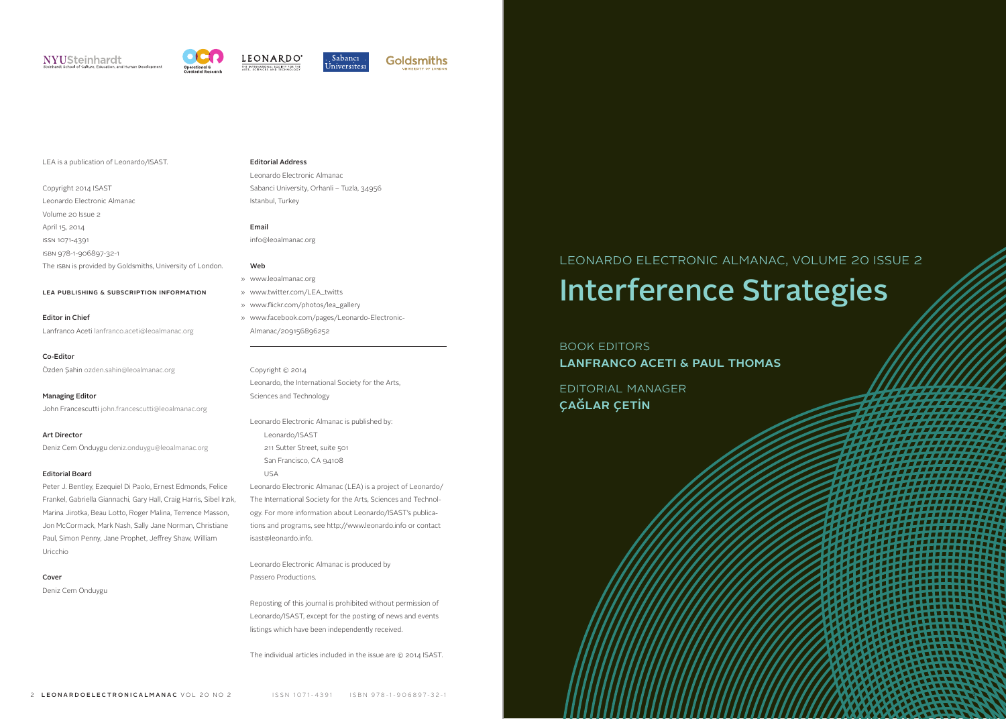## NYUSteinhardt







## LEA is a publication of Leonardo/ISAST.

Copyright 2014 ISAST Leonardo Electronic Almanac Volume 20 Issue 2 April 15, 2014 ISSN 1071-4391 ISBN 978-1-906897-32-1

## The ISBN is provided by Goldsmiths, University of London.

## lea publishing & subscription information

Editor in Chief Lanfranco Aceti [lanfranco.aceti@leoalmanac.org](mailto:lanfranco.aceti@leoalmanac.org)

#### Co-Editor

Özden Şahin [ozden.sahin@leoalmanac.org](mailto:ozden.sahin@leoalmanac.org)

#### Managing Editor

John Francescutti [john.francescutti@leoalmanac.org](mailto:john.francescutti@leoalmanac.org)

### Art Director

Deniz Cem Önduygu [deniz.onduygu@leoalmanac.org](mailto:deniz.onduygu@leoalmanac.org)

#### Editorial Board

Peter J. Bentley, Ezequiel Di Paolo, Ernest Edmonds, Felice Frankel, Gabriella Giannachi, Gary Hall, Craig Harris, Sibel Irzık, Marina Jirotka, Beau Lotto, Roger Malina, Terrence Masson, Jon McCormack, Mark Nash, Sally Jane Norman, Christiane Paul, Simon Penny, Jane Prophet, Jeffrey Shaw, William Uricchio

#### Cover

Deniz Cem Önduygu

## Editorial Address

Leonardo Electronic Almanac Sabanci University, Orhanli – Tuzla, 34956 Istanbul, Turkey

## Email

[info@leoalmanac.org](mailto:info@leoalmanac.org)

#### Web

- [www.leoalmanac.org](http://www.leoalmanac.org ) »
- [www.twitter.com/LEA\\_twitts](http://www.twitter.com/LEA_twitts ) »
- [www.flickr.com/photos/lea\\_gallery](http://www.flickr.com/photos/lea_gallery ) »
- [www.facebook.com/pages/Leonardo-Electronic-](http://www.facebook.com/pages/Leonardo-Electronic-Almanac/209156896252)» [Almanac/209156896252](http://www.facebook.com/pages/Leonardo-Electronic-Almanac/209156896252)

## Copyright © 2014 Leonardo, the International Society for the Arts, Sciences and Technology

Leonardo Electronic Almanac is published by: Leonardo/ISAST 211 Sutter Street, suite 501 San Francisco, CA 94108

#### USA

Leonardo Electronic Almanac (LEA) is a project of Leonardo/ The International Society for the Arts, Sciences and Technology. For more information about Leonardo/ISAST's publications and programs, see<http://www.leonardo.info> or contact [isast@leonardo.info.](mailto:isast@leonardo.info)

Leonardo Electronic Almanac is produced by Passero Productions.

Reposting of this journal is prohibited without permission of Leonardo/ISAST, except for the posting of news and events listings which have been independently received.

The individual articles included in the issue are © 2014 ISAST.

## Leonardo Electronic Almanac, Volume 20 Issue 2 Interference Strategies

## book Editors Lanfranco Aceti & Paul Thomas

Editorıal manager çağlar çetin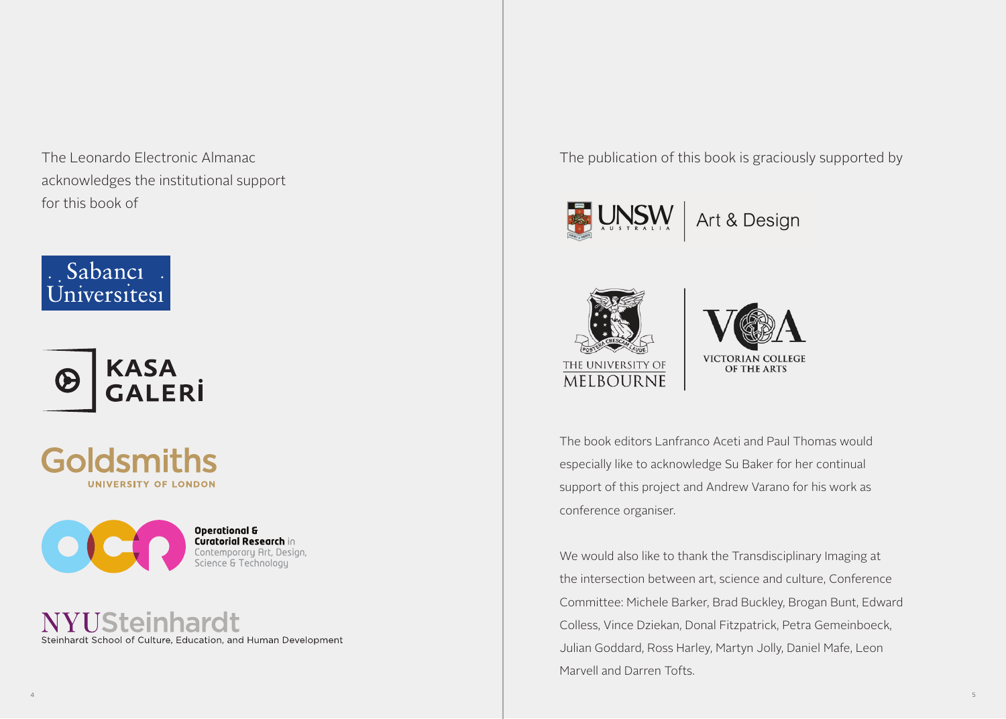The Leonardo Electronic Almanac acknowledges the institutional support for this book of





Goldsmiths UNIVERSITY OF LONDON



YUSteinhardt Steinhardt School of Culture, Education, and Human Development The publication of this book is graciously supported by





LEONARDOELECTRONICALMANAC VOL 20 NO 2 ISSN 1071-4391 ISBN 978-1-906897-32-1 ISSN 1071-4391 ISBN 978-1-906897-32-1 VOL 20 NO 2 LEONARDOELECTRONICALMANAC



The book editors Lanfranco Aceti and Paul Thomas would especially like to acknowledge Su Baker for her continual support of this project and Andrew Varano for his work as conference organiser.

We would also like to thank the Transdisciplinary Imaging at the intersection between art, science and culture, Conference Committee: Michele Barker, Brad Buckley, Brogan Bunt, Edward Colless, Vince Dziekan, Donal Fitzpatrick, Petra Gemeinboeck, Julian Goddard, Ross Harley, Martyn Jolly, Daniel Mafe, Leon Marvell and Darren Tofts.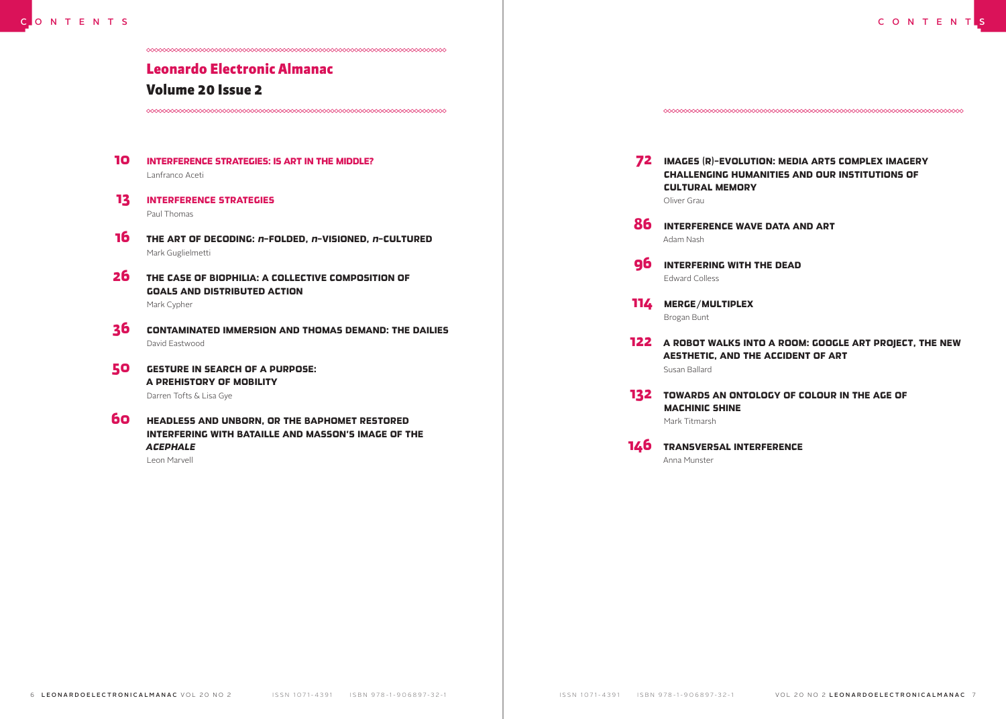## Leonardo Electronic Almanac

## Volume 20 Issue 2

- INTERFERENCE STRATEGIES: IS ART IN THE MIDDLE? Lanfranco Aceti 10
- **13** INTERFERENCE STRATEGIES Paul Thomas
- THE ART OF DECODING: *n*-FOLDED, *n*-VISIONED, *n*-CULTURED 16 Mark Guglielmetti
- 26 THE CASE OF BIOPHILIA: A COLLECTIVE COMPOSITION OF GOALS AND DISTRIBUTED ACTION Mark Cypher
- CONTAMINATED IMMERSION AND THOMAS DEMAND: THE DAILIES David Eastwood 36
- GESTURE IN SEARCH OF A PURPOSE: A PREHISTORY OF MOBILITY Darren Tofts & Lisa Gye 50
- **60** HEADLESS AND UNBORN, OR THE BAPHOMET RESTORED INTERFERING WITH BATAILLE AND MASSON'S IMAGE OF THE *ACEPHALE*

Leon Marvell

72 IMAGES (R)-EVOLUTION: MEDIA ARTS COMPLEX IMAGERY CHALLENGING HUMANITIES AND OUR INSTITUTIONS OF CULTURAL MEMORY Oliver Grau

- 86 INTERFERENCE WAVE DATA AND ART Adam Nash
- 96 INTERFERING WITH THE DEAD Edward Colless

114 MERGE/MULTIPLEX Brogan Bunt

- 122 A ROBOT WALKS INTO A ROOM: GOOGLE ART PROJECT, THE NEW AESTHETIC, AND THE ACCIDENT OF ART Susan Ballard
- **132** TOWARDS AN ONTOLOGY OF COLOUR IN THE AGE OF MACHINIC SHINE Mark Titmarsh
- 146 TRANSVERSAL INTERFERENCE Anna Munster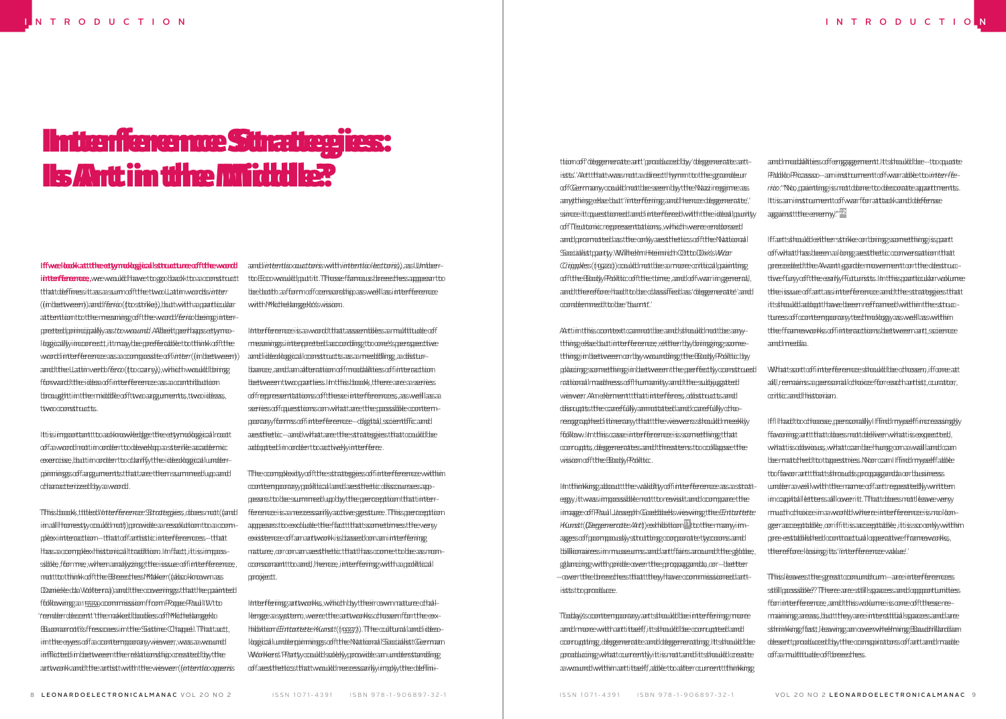## **Interference Strategies: Us Art im the Middle?**

## IffweeIloooKatttheeetymologgicalIstructureeofftheewordd i**nterference,** we would have to go back to a construct that defines it as a sum of the two Latin words *inter* that defines it as a sum of the two Latin words *inter* (in between) and *ferio* (to strike), but with a particular (in between) and *ferio* (to strike), but with a particular attention to the meaning of the word *ferio* being inter-attention to the meaning of the word *ferio* being interpreted principally as *to wound*. Albeit perhaps etymo-preted principally as *to wound*. Albeit perhaps etymologically incorrect, it may be preferable to think of the logically incorrect, it may be preferable to think of the word interference as a composite of *inter* (in between) word interference as a composite of *inter* (in between) and the Latin verb *fero* (to carry), which would bring and the Latin verb *fero* (to carry), which would bring forward the idea of interference as a contribution forward the idea of interference as a contribution brought in the middle of two arguments, two ideas, brought in the middle of two arguments, two ideas, two constructs. two constructs.

Ittissimpoortantttto aadkroowledgge the eetymologgical Irooott of a word not in order to develop a sterile academic of a word not in order to develop a sterile academic exercise, but in order to clarify the ideological under-exercise, but in order to clarify the ideological underpinnings of arguments that are then summed up and pinnings of arguments that are then summed up and characterized by a word. characterized by a word.

This book, titled *Interference Strategies*, does not (and This book, titled *Interference Strategies*, does not (and imaall Irhoomeestyycoouuldd:nooti))pprovidde aa reessoluttioom too aa coomplexinteraction-that of artistic interferencess-that has a complex historical tradition. In fact, it is impos-has a complex historical tradition. In fact, it is impossible, forme, when analyzing the issue of interference, . not to think of the Breeches Maker (also known as not to think of the Breeches Maker (also known as Daniele da Wolterra) and the cowerings sthat the painted ffolltowinggaa 1<del>55559</del> coommisssioonffrom Propee Paul II W too ' reendder deceent i't the maked bloodiess of Michelangel o Buonarroti's frescoes in the Sistine Chapel. That act, Buonarroti's frescoes in the Sistine Chapel. That act, in the eyes of a contemporary viewer, was a wound in the eyes of a contemporary viewer, was a wound inflicted in between the relationship created by the inflicted in between the relationship created by the artwork and the artist with the viewer (*intentio operis* artwork and the artist with the viewer (*intentio operis*

and *intentio auctoris* with *intentio lectoris*), as Umber-and *intentio auctoris* with *intentio lectoris*), as Umbertto Ecco would put it. Thosse famous breeed res appear to be both: a form of censorship as well as interference be both: a form of censorship as well as interference with Michelangelo's vision. with Michelangelo's vision.

I<del>nterference</del> is a word that assembles a multitude off meanings interpreted according to one's perspective meanings interpreted according to one's perspective and ideological constructs as a meddling, a distur-and ideological constructs as a meddling, a disturbance, and an alteration of modalities of interaction bance, and an alteration of modalities of interaction between two parties. In this book, there are a series between two parties. In this book, there are a series of representations of these interferences, as well as a of representations of these interferences, as well as a series of questions on what are the possible contem-series of questions on what are the possible contemporary forms of interference - digital, scientific and porary forms of interference - digital, scientific and aesthetic - and what are the strategies that could be aesthetic - and what are the strategies that could be adopted in order to actively interfere. adopted in order to actively interfere.

The complexity of the strategies of interference within The complexity of the strategies of interference within contemporary political and aesthetic discourses ap-contemporary political and aesthetic discourses appears to be summed up by the perception that inter-pears to be summed up by the perception that interf<del>ference</del> is a n<del>ecessa</del>rily active gesture. This p<del>erception</del> appears to exclude the fact that sometimes the very appears to exclude the fact that sometimes the very existence of an artwork is based on an interfering existence of an artwork is based on an interfering nature, or on an aesthetic that has come to be as non-nature, or on an aesthetic that has come to be as nonconsonant to and, hence, interfering with a political consonant to and, hence, interfering with a political project. project.

Interfering artworks, which by their own nature chal-Interfering artworks, which by their own nature challenge a system, were the artworks chosen for the ex-lenge a system, were the artworks chosen for the exhibition *Entartete Kunst* (1937). The cultural and ideo-hibition *Entartete Kunst* (1937). The cultural and ideological underpinnings of the National Socialist German logical underpinnings of the National Socialist German Woorkers' Paarty coouldd soldely providde am undderstanding g of aesthetics that would necessarily imply the defini-of aesthetics that would necessarily imply the defini-

tion of 'degenerate art' produced by 'degenerate art-tion of 'degenerate art' produced by 'degenerate artistts:/Anttthattwassmottaadireedthymmttottheegranddeur of Germany could not be seen by the Nazi regime as of Germany could not be seen by the Nazi regime as anything else but 'interfering and hence degenerate,' anything else but 'interfering and hence degenerate,' since it to purity interfered with the ideal purity of Teutonic representations, which were endorsed of Teutonic representations, which were endorsed and promoted as the only aesthetics of the National and promoted as the only aesthetics of the National Socialist party. Wilhelm Heinrich Otto Dix's *War*  Socialist party. Wilhelm Heinrich Otto Dix's *War Cripples* (1920) could not be a more critical painting *Cripples* (1920) could not be a more critical painting of the Body Politic of the time, and of war in general, of the Body Politic of the time, and of war in general, and therefore had to be classified as 'degenerate' and and therefore had to be classified as 'degenerate' and condemned to be 'burnt.' condemned to be 'burnt.'

Art in this context cannot be and should not be any-Art in this context cannot be and should not be anything else but interference; either by bringing some-thing else but interference; either by bringing sometthinggi in bleettweeen corrbyy woo unddinggtthee Boodyy Probittic bbyy placing something in between the perfectly construed  $\,$ rational madness of humanity and the subjugated rational madness of humanity and the subjugated viewer. An element that interferes, obstructs and viewer. An element that interferes, obstructs and disrupts the carefully annotated and carefully cho-disrupts the carefully annotated and carefully chorecoggrapheed itineraary that tthe wiewers sshould meeekly f6blloow.Intthisscaasse int<del>erference</del>e issssomeething tthatt corrupts, degenerates and threatens to collapse the corrupts, degenerates and threatens to collapse the vision of the Body Politic. vision of the Body Politic.

In thinking about the validity of interference as a strat-In thinking about the validity of interference as a strategy, it was impossible not to revisit and compare the egy, it was impossible not to revisit and compare the image of Paul Joseph Goebbels viewing the *Entartete*  image of Paul Joseph Goebbels viewing the *Entartete Kunst* (*Degenerate Art*) exhibition 1 to the many im-*Kunst* (*Degenerate Art*) exhibition 1 to the many images of pompously strutting corporate tycoons and ages of pompously strutting corporate tycoons and billiomairessimmusseumssamdarttfairssarooundttheeglobbe, glancing with pride over the propaganda, or - better glancing with pride over the propaganda, or - better - over the breeches that they have commissioned art-- over the breeches that they have commissioned artists to produce. ists to produce.

Today's contemporary art should be interfering more Today's contemporary art should be interfering more and more with art itself, it should be corrupted and corrupting, degenerate and degenerating. It should be corrupting, degenerate and degenerating. It should be prooducing what courrently it is mot cand its hould create a wound within art itself, able to alter current tthin king a

and modalities of engagement. It should be - to quote and modalities of engagement. It should be - to quote Pablo Picasso - an instrument of war able to *inter-fe-*Pablo Picasso - an instrument of war able to *inter-ferio*: "No, painting is not done to decorate apartments. *rio*: "No, painting is not done to decorate apartments. Ittissaaminsstrumeenttoofwaarfforratttackkandddeffensse against the enemy." 2 against the enemy." 2

Iffaattshooulddeitherstrike oorbring something is paatt of what has been a long aesthetic conversation that of what has been a long aesthetic conversation that preceded the Avant-garde movement or the destruc-preceded the Avant-garde movement or the destructtive ffuryy of ft the early Futurists. In this particular volume the issue of art as interference and the strategies that the issue of art as interference and the strategies that ittsshoo.ulddaadooptthaaweebbeeen reeffaameed withim thee sstruccttureess of focontempoor arry teed imoology y as sweell lass within the frameworks of interactions between art, science the frameworks of interactions between art, science and media. and media.

Whattssorttooffint<del>terferenceesshould bloe chosse</del>n, ifformee att all, remains a personal choice for each artist, curator, all, remains a personal choice for each artist, curator, critic and historian. critic and historian.

IffI IH aad to cothooosse, peerssonaallyy I ffinddimysselffinocreaasingdyy ffavooringgaanttthaatddoessmoottddeliveerwhaattisseexpeedteed, what is obvious, what can be hung on a wall and can what is obvious, what can be hung on a wall and can be matched to tapestries. Nor can I find myself able be matched to tapestries. Nor can I find myself able to favor art that shrouds propaganda or business to favor art that shrouds propaganda or business under a veil with the name of art repeatedly written under a veil with the name of art repeatedly written in capital letters all over it. That does not leave very in capital letters all over it. That does not leave very much choice in a world where interference is no lon-much choice in a world where interference is no longger acceeptable; oo riffitis acceeptable; it is so conly within pre-established contractual operative frameworks, pre-established contractual operative frameworks, therefore losing its 'interference value.' therefore losing its 'interference value.'

This leaves the great conundrum - are interferences This leaves the great conundrum - are interferences still possible? There are still spaces and opportunities still possible? There are still spaces and opportunities for interference, and this volume is one of these re-for interference, and this volume is one of these remaining areas, but they are interstitial spaces and are maining areas, but they are interstitial spaces and are sthrinkkingg fasst, leaaving aan ooverwheelming Bauddrillardiam desert produced by the conspirators of art and made desert produced by the conspirators of art and made oof aarmultitudee oof breeed hess.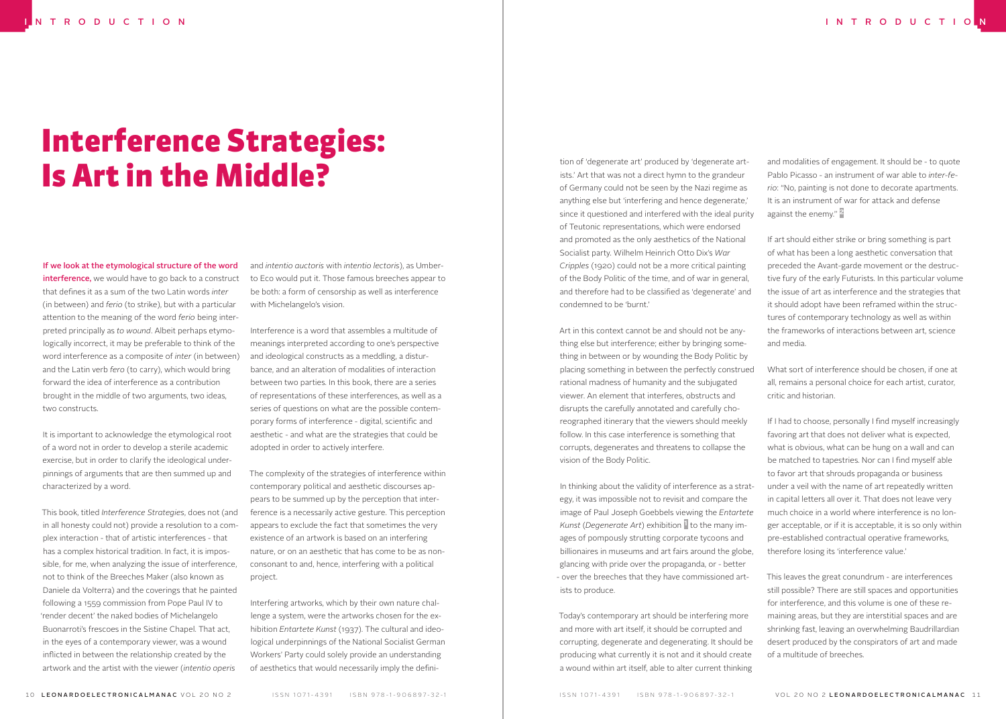# Interference Strategies: Is Art in the Middle?

If we look at the etymological structure of the word interference, we would have to go back to a construct that defines it as a sum of the two Latin words *inter* (in between) and *ferio* (to strike), but with a particular attention to the meaning of the word *ferio* being interpreted principally as *to wound*. Albeit perhaps etymologically incorrect, it may be preferable to think of the word interference as a composite of *inter* (in between) and the Latin verb *fero* (to carry), which would bring forward the idea of interference as a contribution brought in the middle of two arguments, two ideas, two constructs.

It is important to acknowledge the etymological root of a word not in order to develop a sterile academic exercise, but in order to clarify the ideological underpinnings of arguments that are then summed up and characterized by a word.

This book, titled *Interference Strategies*, does not (and in all honesty could not) provide a resolution to a complex interaction - that of artistic interferences - that has a complex historical tradition. In fact, it is impossible, for me, when analyzing the issue of interference, not to think of the Breeches Maker (also known as Daniele da Volterra) and the coverings that he painted following a 1559 commission from Pope Paul IV to 'render decent' the naked bodies of Michelangelo Buonarroti's frescoes in the Sistine Chapel. That act, in the eyes of a contemporary viewer, was a wound inflicted in between the relationship created by the artwork and the artist with the viewer (*intentio operis*

and *intentio auctoris* with *intentio lectoris*), as Umberto Eco would put it. Those famous breeches appear to be both: a form of censorship as well as interference with Michelangelo's vision.

Interference is a word that assembles a multitude of meanings interpreted according to one's perspective and ideological constructs as a meddling, a disturbance, and an alteration of modalities of interaction between two parties. In this book, there are a series of representations of these interferences, as well as a series of questions on what are the possible contemporary forms of interference - digital, scientific and aesthetic - and what are the strategies that could be adopted in order to actively interfere.

The complexity of the strategies of interference within contemporary political and aesthetic discourses appears to be summed up by the perception that interference is a necessarily active gesture. This perception appears to exclude the fact that sometimes the very existence of an artwork is based on an interfering nature, or on an aesthetic that has come to be as nonconsonant to and, hence, interfering with a political project.

Interfering artworks, which by their own nature challenge a system, were the artworks chosen for the exhibition *Entartete Kunst* (1937). The cultural and ideological underpinnings of the National Socialist German Workers' Party could solely provide an understanding of aesthetics that would necessarily imply the defini-

tion of 'degenerate art' produced by 'degenerate artists.' Art that was not a direct hymn to the grandeur of Germany could not be seen by the Nazi regime as anything else but 'interfering and hence degenerate,' since it questioned and interfered with the ideal purity of Teutonic representations, which were endorsed and promoted as the only aesthetics of the National Socialist party. Wilhelm Heinrich Otto Dix's *War Cripples* (1920) could not be a more critical painting of the Body Politic of the time, and of war in general, and therefore had to be classified as 'degenerate' and condemned to be 'burnt.'

Art in this context cannot be and should not be anything else but interference; either by bringing something in between or by wounding the Body Politic by placing something in between the perfectly construed rational madness of humanity and the subjugated viewer. An element that interferes, obstructs and disrupts the carefully annotated and carefully choreographed itinerary that the viewers should meekly follow. In this case interference is something that corrupts, degenerates and threatens to collapse the vision of the Body Politic.

In thinking about the validity of interference as a strategy, it was impossible not to revisit and compare the image of Paul Joseph Goebbels viewing the *Entartete Kunst* (*Degenerate Art*) exhibition 1 to the many images of pompously strutting corporate tycoons and billionaires in museums and art fairs around the globe, glancing with pride over the propaganda, or - better - over the breeches that they have commissioned artists to produce.

Today's contemporary art should be interfering more and more with art itself, it should be corrupted and corrupting, degenerate and degenerating. It should be producing what currently it is not and it should create a wound within art itself, able to alter current thinking

and modalities of engagement. It should be - to quote Pablo Picasso - an instrument of war able to *inter-ferio*: "No, painting is not done to decorate apartments. It is an instrument of war for attack and defense against the enemy." 2

If art should either strike or bring something is part of what has been a long aesthetic conversation that preceded the Avant-garde movement or the destructive fury of the early Futurists. In this particular volume the issue of art as interference and the strategies that it should adopt have been reframed within the structures of contemporary technology as well as within the frameworks of interactions between art, science and media.

What sort of interference should be chosen, if one at all, remains a personal choice for each artist, curator, critic and historian.

If I had to choose, personally I find myself increasingly favoring art that does not deliver what is expected, what is obvious, what can be hung on a wall and can be matched to tapestries. Nor can I find myself able to favor art that shrouds propaganda or business under a veil with the name of art repeatedly written in capital letters all over it. That does not leave very much choice in a world where interference is no longer acceptable, or if it is acceptable, it is so only within pre-established contractual operative frameworks, therefore losing its 'interference value.'

This leaves the great conundrum - are interferences still possible? There are still spaces and opportunities for interference, and this volume is one of these remaining areas, but they are interstitial spaces and are shrinking fast, leaving an overwhelming Baudrillardian desert produced by the conspirators of art and made of a multitude of breeches.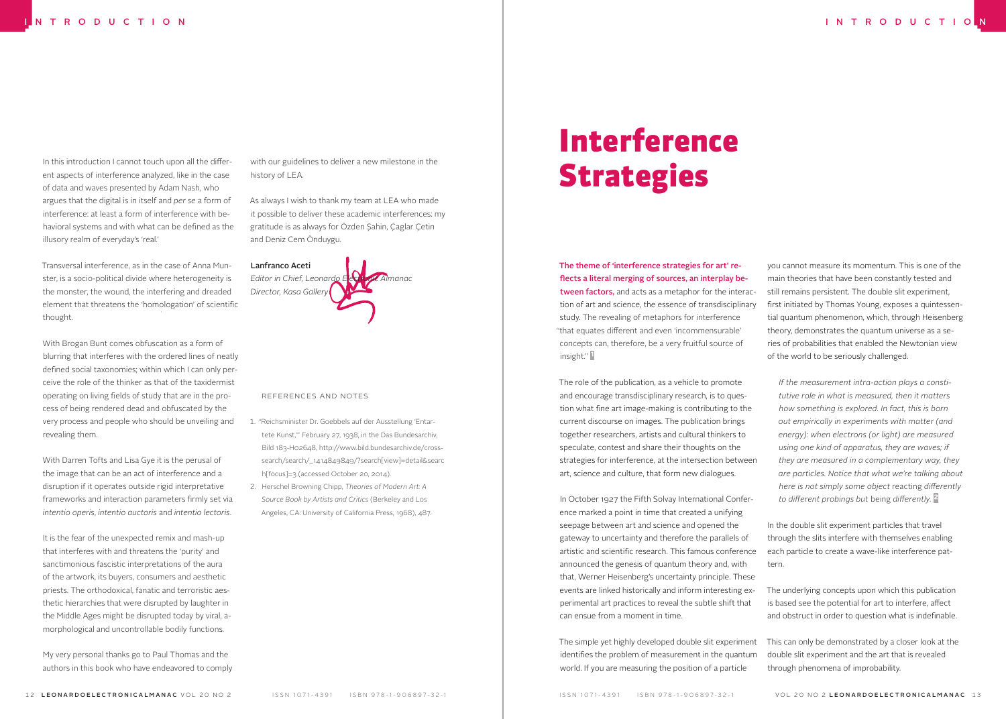In this introduction I cannot touch upon all the different aspects of interference analyzed, like in the case of data and waves presented by Adam Nash, who argues that the digital is in itself and *per se* a form of interference: at least a form of interference with behavioral systems and with what can be defined as the illusory realm of everyday's 'real.'

Transversal interference, as in the case of Anna Munster, is a socio-political divide where heterogeneity is the monster, the wound, the interfering and dreaded element that threatens the 'homologation' of scientific thought.

With Brogan Bunt comes obfuscation as a form of blurring that interferes with the ordered lines of neatly defined social taxonomies; within which I can only perceive the role of the thinker as that of the taxidermist operating on living fields of study that are in the process of being rendered dead and obfuscated by the very process and people who should be unveiling and revealing them.

With Darren Tofts and Lisa Gye it is the perusal of the image that can be an act of interference and a disruption if it operates outside rigid interpretative frameworks and interaction parameters firmly set via *intentio operis*, *intentio auctoris* and *intentio lectoris*.

It is the fear of the unexpected remix and mash-up that interferes with and threatens the 'purity' and sanctimonious fascistic interpretations of the aura of the artwork, its buyers, consumers and aesthetic priests. The orthodoxical, fanatic and terroristic aesthetic hierarchies that were disrupted by laughter in the Middle Ages might be disrupted today by viral, amorphological and uncontrollable bodily functions.

My very personal thanks go to Paul Thomas and the authors in this book who have endeavored to comply with our guidelines to deliver a new milestone in the history of LEA.

As always I wish to thank my team at LEA who made it possible to deliver these academic interferences: my gratitude is as always for Özden Şahin, Çaglar Çetin and Deniz Cem Önduygu.



References and Notes

- 1. "Reichsminister Dr. Goebbels auf der Ausstellung 'Entartete Kunst,'" February 27, 1938, in the Das Bundesarchiv, Bild 183-H02648, http://www.bild.bundesarchiv.de/crosssearch/search/\_1414849849/?search[view]=detail&searc h[focus]=3 (accessed October 20, 2014).
- 2. Herschel Browning Chipp, *Theories of Modern Art: A Source Book by Artists and Critics* (Berkeley and Los Angeles, CA: University of California Press, 1968), 487.

# Interference Strategies

The theme of 'interference strategies for art' reflects a literal merging of sources, an interplay between factors, and acts as a metaphor for the interaction of art and science, the essence of transdisciplinary study. The revealing of metaphors for interference "that equates different and even 'incommensurable' concepts can, therefore, be a very fruitful source of insight." 1

The role of the publication, as a vehicle to promote and encourage transdisciplinary research, is to question what fine art image-making is contributing to the current discourse on images. The publication brings together researchers, artists and cultural thinkers to speculate, contest and share their thoughts on the strategies for interference, at the intersection between art, science and culture, that form new dialogues.

In October 1927 the Fifth Solvay International Conference marked a point in time that created a unifying seepage between art and science and opened the gateway to uncertainty and therefore the parallels of artistic and scientific research. This famous conference announced the genesis of quantum theory and, with that, Werner Heisenberg's uncertainty principle. These events are linked historically and inform interesting experimental art practices to reveal the subtle shift that can ensue from a moment in time.

The simple yet highly developed double slit experiment identifies the problem of measurement in the quantum world. If you are measuring the position of a particle

you cannot measure its momentum. This is one of the main theories that have been constantly tested and still remains persistent. The double slit experiment, first initiated by Thomas Young, exposes a quintessential quantum phenomenon, which, through Heisenberg theory, demonstrates the quantum universe as a series of probabilities that enabled the Newtonian view of the world to be seriously challenged.

*If the measurement intra-action plays a constitutive role in what is measured, then it matters how something is explored. In fact, this is born out empirically in experiments with matter (and energy): when electrons (or light) are measured using one kind of apparatus, they are waves; if they are measured in a complementary way, they are particles. Notice that what we're talking about here is not simply some object* reacting *differently to different probings but* being *differently.* 2

In the double slit experiment particles that travel through the slits interfere with themselves enabling each particle to create a wave-like interference pattern.

The underlying concepts upon which this publication is based see the potential for art to interfere, affect and obstruct in order to question what is indefinable.

This can only be demonstrated by a closer look at the double slit experiment and the art that is revealed through phenomena of improbability.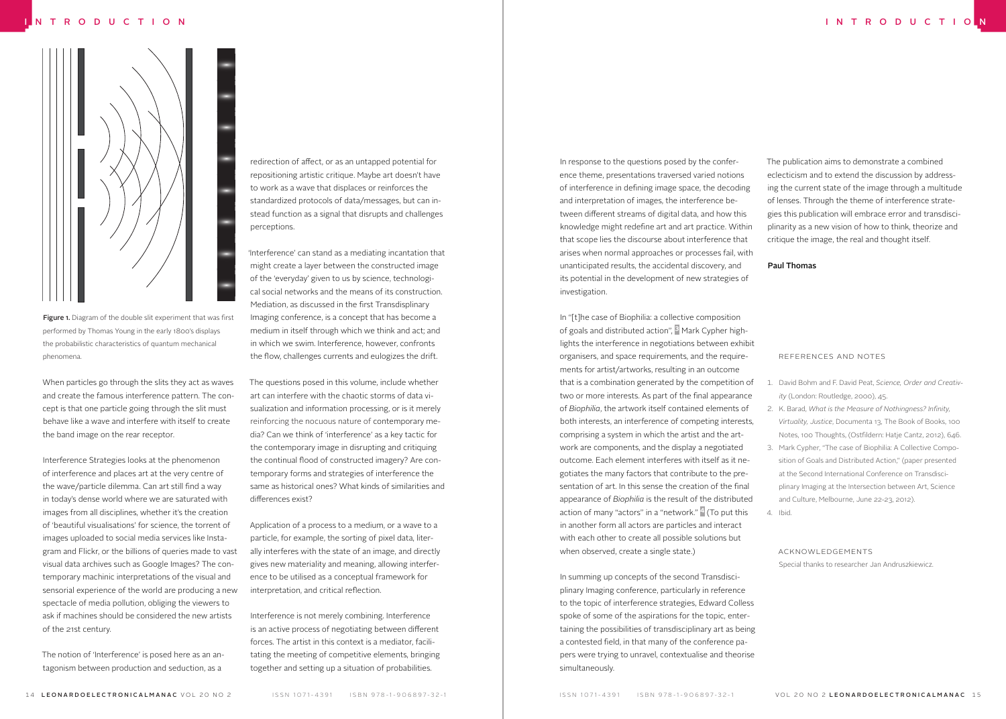

Figure 1. Diagram of the double slit experiment that was first performed by Thomas Young in the early 1800's displays the probabilistic characteristics of quantum mechanical phenomena.

When particles go through the slits they act as waves and create the famous interference pattern. The concept is that one particle going through the slit must behave like a wave and interfere with itself to create the band image on the rear receptor.

Interference Strategies looks at the phenomenon of interference and places art at the very centre of the wave/particle dilemma. Can art still find a way in today's dense world where we are saturated with images from all disciplines, whether it's the creation of 'beautiful visualisations' for science, the torrent of images uploaded to social media services like Instagram and Flickr, or the billions of queries made to vast visual data archives such as Google Images? The contemporary machinic interpretations of the visual and sensorial experience of the world are producing a new spectacle of media pollution, obliging the viewers to ask if machines should be considered the new artists of the 21st century.

The notion of 'Interference' is posed here as an antagonism between production and seduction, as a

redirection of affect, or as an untapped potential for repositioning artistic critique. Maybe art doesn't have to work as a wave that displaces or reinforces the standardized protocols of data/messages, but can instead function as a signal that disrupts and challenges perceptions.

'Interference' can stand as a mediating incantation that might create a layer between the constructed image of the 'everyday' given to us by science, technological social networks and the means of its construction. Mediation, as discussed in the first Transdisplinary Imaging conference, is a concept that has become a medium in itself through which we think and act; and in which we swim. Interference, however, confronts the flow, challenges currents and eulogizes the drift.

The questions posed in this volume, include whether art can interfere with the chaotic storms of data visualization and information processing, or is it merely reinforcing the nocuous nature of contemporary media? Can we think of 'interference' as a key tactic for the contemporary image in disrupting and critiquing the continual flood of constructed imagery? Are contemporary forms and strategies of interference the same as historical ones? What kinds of similarities and differences exist?

Application of a process to a medium, or a wave to a particle, for example, the sorting of pixel data, literally interferes with the state of an image, and directly gives new materiality and meaning, allowing interference to be utilised as a conceptual framework for interpretation, and critical reflection.

Interference is not merely combining. Interference is an active process of negotiating between different forces. The artist in this context is a mediator, facilitating the meeting of competitive elements, bringing together and setting up a situation of probabilities.

In response to the questions posed by the conference theme, presentations traversed varied notions of interference in defining image space, the decoding and interpretation of images, the interference between different streams of digital data, and how this knowledge might redefine art and art practice. Within that scope lies the discourse about interference that arises when normal approaches or processes fail, with unanticipated results, the accidental discovery, and its potential in the development of new strategies of investigation.

In "[t]he case of Biophilia: a collective composition of goals and distributed action", <sup>3</sup> Mark Cypher highlights the interference in negotiations between exhibit organisers, and space requirements, and the requirements for artist/artworks, resulting in an outcome that is a combination generated by the competition of two or more interests. As part of the final appearance of *Biophilia*, the artwork itself contained elements of both interests, an interference of competing interests, comprising a system in which the artist and the artwork are components, and the display a negotiated outcome. Each element interferes with itself as it negotiates the many factors that contribute to the presentation of art. In this sense the creation of the final appearance of *Biophilia* is the result of the distributed action of many "actors" in a "network." <sup>4</sup> (To put this in another form all actors are particles and interact with each other to create all possible solutions but when observed, create a single state.)

In summing up concepts of the second Transdisciplinary Imaging conference, particularly in reference to the topic of interference strategies, Edward Colless spoke of some of the aspirations for the topic, entertaining the possibilities of transdisciplinary art as being a contested field, in that many of the conference papers were trying to unravel, contextualise and theorise simultaneously.

The publication aims to demonstrate a combined eclecticism and to extend the discussion by addressing the current state of the image through a multitude of lenses. Through the theme of interference strategies this publication will embrace error and transdisciplinarity as a new vision of how to think, theorize and critique the image, the real and thought itself.

Paul Thomas

#### References and Notes

- 1. David Bohm and F. David Peat, *Science, Order and Creativity* (London: Routledge, 2000), 45.
- 2. K. Barad, *What is the Measure of Nothingness? Infinity, Virtuality, Justice*, Documenta 13, The Book of Books, 100 Notes, 100 Thoughts, (Ostfildern: Hatje Cantz, 2012), 646.
- 3. Mark Cypher, "The case of Biophilia: A Collective Composition of Goals and Distributed Action," (paper presented at the Second International Conference on Transdisciplinary Imaging at the Intersection between Art, Science and Culture, Melbourne, June 22-23, 2012). 4. Ibid.

### acknowledgements

Special thanks to researcher Jan Andruszkiewicz.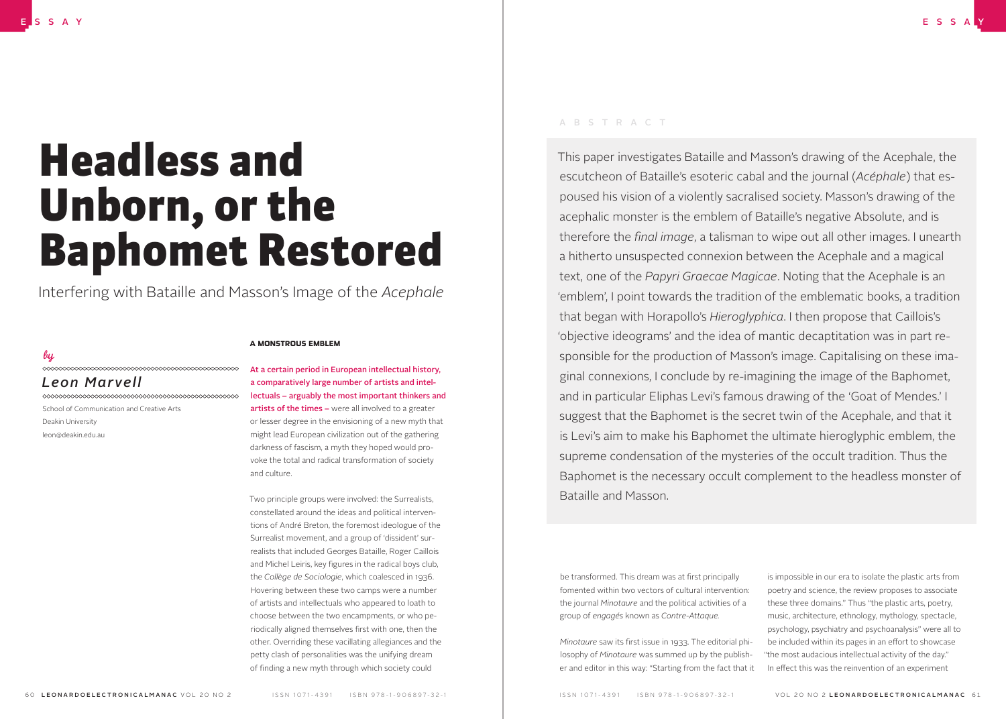# Headless and Unborn, or the Baphomet Restored

Interfering with Bataille and Masson's Image of the *Acephale*

## *by*

## *Leon Marvell*

School of Communication and Creative Arts Deakin University leon@deakin.edu.au

## A MONSTROUS EMBLEM

At a certain period in European intellectual history, a comparatively large number of artists and intellectuals – arguably the most important thinkers and artists of the times – were all involved to a greater or lesser degree in the envisioning of a new myth that might lead European civilization out of the gathering darkness of fascism, a myth they hoped would provoke the total and radical transformation of society and culture.

Two principle groups were involved: the Surrealists, constellated around the ideas and political interventions of André Breton, the foremost ideologue of the Surrealist movement, and a group of 'dissident' surrealists that included Georges Bataille, Roger Caillois and Michel Leiris, key figures in the radical boys club, the *Collège de Sociologie*, which coalesced in 1936. Hovering between these two camps were a number of artists and intellectuals who appeared to loath to choose between the two encampments, or who periodically aligned themselves first with one, then the other. Overriding these vacillating allegiances and the petty clash of personalities was the unifying dream of finding a new myth through which society could

## ABSTRACT

This paper investigates Bataille and Masson's drawing of the Acephale, the escutcheon of Bataille's esoteric cabal and the journal (*Acéphale*) that espoused his vision of a violently sacralised society. Masson's drawing of the acephalic monster is the emblem of Bataille's negative Absolute, and is therefore the *final image*, a talisman to wipe out all other images. I unearth a hitherto unsuspected connexion between the Acephale and a magical text, one of the *Papyri Graecae Magicae*. Noting that the Acephale is an 'emblem', I point towards the tradition of the emblematic books, a tradition that began with Horapollo's *Hieroglyphica*. I then propose that Caillois's 'objective ideograms' and the idea of mantic decaptitation was in part responsible for the production of Masson's image. Capitalising on these imaginal connexions, I conclude by re-imagining the image of the Baphomet, and in particular Eliphas Levi's famous drawing of the 'Goat of Mendes.' I suggest that the Baphomet is the secret twin of the Acephale, and that it is Levi's aim to make his Baphomet the ultimate hieroglyphic emblem, the supreme condensation of the mysteries of the occult tradition. Thus the Baphomet is the necessary occult complement to the headless monster of Bataille and Masson.

be transformed. This dream was at first principally fomented within two vectors of cultural intervention: the journal *Minotaure* and the political activities of a group of *engagés* known as *Contre-Attaque.*

*Minotaure* saw its first issue in 1933. The editorial philosophy of *Minotaure* was summed up by the publisher and editor in this way: "Starting from the fact that it

is impossible in our era to isolate the plastic arts from poetry and science, the review proposes to associate these three domains." Thus "the plastic arts, poetry, music, architecture, ethnology, mythology, spectacle, psychology, psychiatry and psychoanalysis" were all to be included within its pages in an effort to showcase "the most audacious intellectual activity of the day." In effect this was the reinvention of an experiment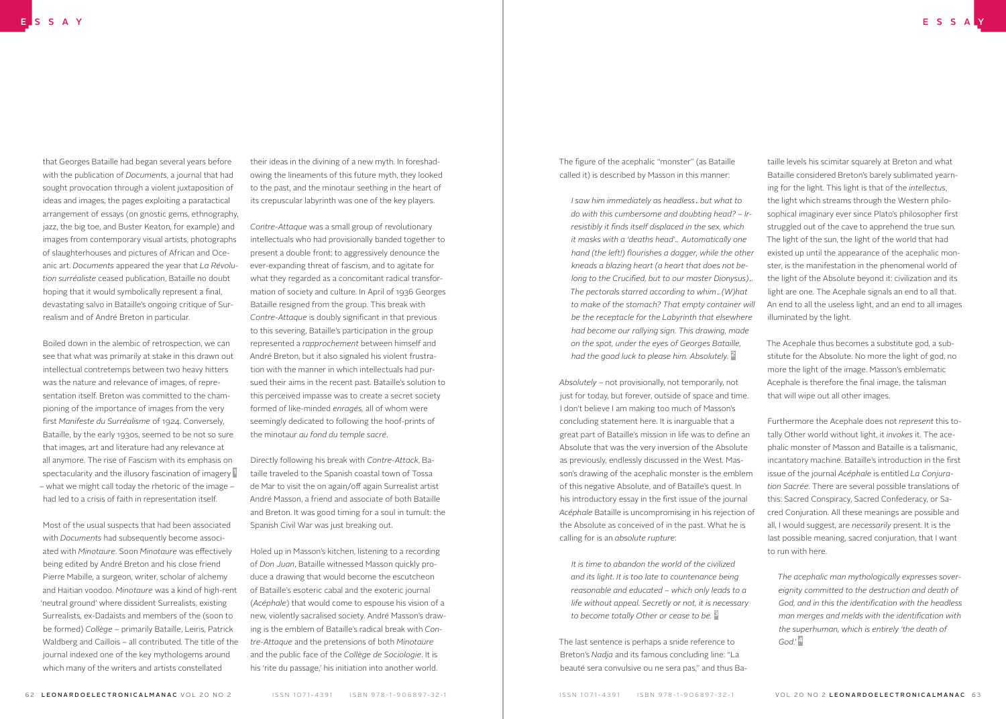that Georges Bataille had began several years before with the publication of *Documents*, a journal that had sought provocation through a violent juxtaposition of ideas and images, the pages exploiting a paratactical arrangement of essays (on gnostic gems, ethnography, jazz, the big toe, and Buster Keaton, for example) and images from contemporary visual artists, photographs of slaughterhouses and pictures of African and Oceanic art. *Documents* appeared the year that *La Révolution surréaliste* ceased publication, Bataille no doubt hoping that it would symbolically represent a final, devastating salvo in Bataille's ongoing critique of Surrealism and of André Breton in particular.

Boiled down in the alembic of retrospection, we can see that what was primarily at stake in this drawn out intellectual contretemps between two heavy hitters was the nature and relevance of images, of representation itself. Breton was committed to the championing of the importance of images from the very first *Manifeste du Surréalisme* of 1924. Conversely, Bataille, by the early 1930s, seemed to be not so sure that images, art and literature had any relevance at all anymore. The rise of Fascism with its emphasis on spectacularity and the illusory fascination of imagery – what we might call today the rhetoric of the image – had led to a crisis of faith in representation itself.

Most of the usual suspects that had been associated with *Documents* had subsequently become associated with *Minotaure*. Soon *Minotaure* was effectively being edited by André Breton and his close friend Pierre Mabille, a surgeon, writer, scholar of alchemy and Haitian voodoo. *Minotaure* was a kind of high-rent 'neutral ground' where dissident Surrealists, existing Surrealists, ex-Dadaists and members of the (soon to be formed) *Collège* – primarily Bataille, Leiris, Patrick Waldberg and Caillois – all contributed. The title of the journal indexed one of the key mythologems around which many of the writers and artists constellated

their ideas in the divining of a new myth. In foreshadowing the lineaments of this future myth, they looked to the past, and the minotaur seething in the heart of its crepuscular labyrinth was one of the key players.

*Contre-Attaque* was a small group of revolutionary intellectuals who had provisionally banded together to present a double front: to aggressively denounce the ever-expanding threat of fascism, and to agitate for what they regarded as a concomitant radical transformation of society and culture. In April of 1936 Georges Bataille resigned from the group. This break with *Contre-Attaque* is doubly significant in that previous to this severing, Bataille's participation in the group represented a *rapprochement* between himself and André Breton, but it also signaled his violent frustration with the manner in which intellectuals had pursued their aims in the recent past. Bataille's solution to this perceived impasse was to create a secret society formed of like-minded *enragés,* all of whom were seemingly dedicated to following the hoof-prints of the minotaur *au fond du temple sacré*.

Directly following his break with *Contre-Attack*, Bataille traveled to the Spanish coastal town of Tossa de Mar to visit the on again/off again Surrealist artist André Masson, a friend and associate of both Bataille and Breton. It was good timing for a soul in tumult: the Spanish Civil War was just breaking out.

Holed up in Masson's kitchen, listening to a recording of *Don Juan*, Bataille witnessed Masson quickly produce a drawing that would become the escutcheon of Bataille's esoteric cabal and the exoteric journal (*Acéphale*) that would come to espouse his vision of a new, violently sacralised society. André Masson's drawing is the emblem of Bataille's radical break with *Contre-Attaque* and the pretensions of both *Minotaure* and the public face of the *Collège de Sociologie*. It is his 'rite du passage,' his initiation into another world.

The figure of the acephalic "monster" (as Bataille called it) is described by Masson in this manner:

*I saw him immediately as headless…but what to do with this cumbersome and doubting head? – Irresistibly it finds itself displaced in the sex, which it masks with a 'deaths head'… Automatically one hand (the left!) flourishes a dagger, while the other kneads a blazing heart (a heart that does not belong to the Crucified, but to our master Dionysus)… The pectorals starred according to whim…(W)hat to make of the stomach? That empty container will be the receptacle for the Labyrinth that elsewhere had become our rallying sign. This drawing, made on the spot, under the eyes of Georges Bataille, had the good luck to please him. Absolutely.* 2

*Absolutely* – not provisionally, not temporarily, not just for today, but forever, outside of space and time. I don't believe I am making too much of Masson's concluding statement here. It is inarguable that a great part of Bataille's mission in life was to define an Absolute that was the very inversion of the Absolute as previously, endlessly discussed in the West. Masson's drawing of the acephalic monster is the emblem of this negative Absolute, and of Bataille's quest. In his introductory essay in the first issue of the journal *Acéphale* Bataille is uncompromising in his rejection of the Absolute as conceived of in the past. What he is calling for is an *absolute rupture*:

*It is time to abandon the world of the civilized and its light. It is too late to countenance being reasonable and educated – which only leads to a life without appeal. Secretly or not, it is necessary to become totally Other or cease to be.* 3

The last sentence is perhaps a snide reference to Breton's *Nadja* and its famous concluding line: "La beauté sera convulsive ou ne sera pas," and thus Ba-

taille levels his scimitar squarely at Breton and what Bataille considered Breton's barely sublimated yearning for the light. This light is that of the *intellectus*, the light which streams through the Western philosophical imaginary ever since Plato's philosopher first struggled out of the cave to apprehend the true sun. The light of the sun, the light of the world that had existed up until the appearance of the acephalic monster, is the manifestation in the phenomenal world of the light of the Absolute beyond it: civilization and its light are one. The Acephale signals an end to all that. An end to all the useless light, and an end to all images illuminated by the light.

The Acephale thus becomes a substitute god, a substitute for the Absolute. No more the light of god, no more the light of the image. Masson's emblematic Acephale is therefore the final image, the talisman that will wipe out all other images.

Furthermore the Acephale does not *represent* this totally Other world without light, it *invokes* it. The acephalic monster of Masson and Bataille is a talismanic, incantatory machine. Bataille's introduction in the first issue of the journal *Acéphale* is entitled *La Conjuration Sacrée*. There are several possible translations of this: Sacred Conspiracy, Sacred Confederacy, or Sacred Conjuration. All these meanings are possible and all, I would suggest, are *necessarily* present. It is the last possible meaning, sacred conjuration, that I want to run with here.

*The acephalic man mythologically expresses sovereignity committed to the destruction and death of God, and in this the identification with the headless man merges and melds with the identification with the superhuman, which is entirely 'the death of God.'* 4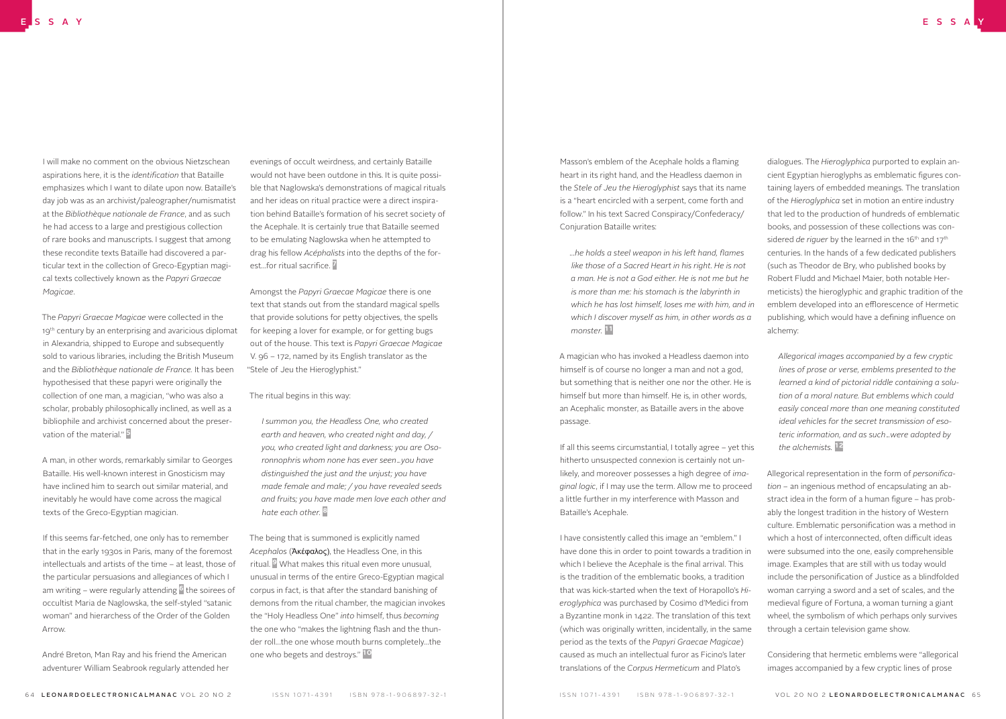I will make no comment on the obvious Nietzschean aspirations here, it is the *identification* that Bataille emphasizes which I want to dilate upon now. Bataille's day job was as an archivist/paleographer/numismatist at the *Bibliothèque nationale de France*, and as such he had access to a large and prestigious collection of rare books and manuscripts. I suggest that among these recondite texts Bataille had discovered a particular text in the collection of Greco-Egyptian magical texts collectively known as the *Papyri Graecae Magicae*.

The *Papyri Graecae Magicae* were collected in the 19<sup>th</sup> century by an enterprising and avaricious diplomat in Alexandria, shipped to Europe and subsequently sold to various libraries, including the British Museum and the *Bibliothèque nationale de France.* It has been hypothesised that these papyri were originally the collection of one man, a magician, "who was also a scholar, probably philosophically inclined, as well as a bibliophile and archivist concerned about the preservation of the material." 5

A man, in other words, remarkably similar to Georges Bataille. His well-known interest in Gnosticism may have inclined him to search out similar material, and inevitably he would have come across the magical texts of the Greco-Egyptian magician.

If this seems far-fetched, one only has to remember that in the early 1930s in Paris, many of the foremost intellectuals and artists of the time – at least, those of the particular persuasions and allegiances of which I am writing – were regularly attending  $\frac{6}{3}$  the soirees of occultist Maria de Naglowska, the self-styled "satanic woman" and hierarchess of the Order of the Golden Arrow.

André Breton, Man Ray and his friend the American adventurer William Seabrook regularly attended her

evenings of occult weirdness, and certainly Bataille would not have been outdone in this. It is quite possible that Naglowska's demonstrations of magical rituals and her ideas on ritual practice were a direct inspiration behind Bataille's formation of his secret society of the Acephale. It is certainly true that Bataille seemed to be emulating Naglowska when he attempted to drag his fellow *Acéphalists* into the depths of the forest…for ritual sacrifice. 7

Amongst the *Papyri Graecae Magicae* there is one text that stands out from the standard magical spells that provide solutions for petty objectives, the spells for keeping a lover for example, or for getting bugs out of the house. This text is *Papyri Graecae Magicae*  V. 96 – 172, named by its English translator as the "Stele of Jeu the Hieroglyphist."

## The ritual begins in this way:

*I summon you, the Headless One, who created earth and heaven, who created night and day, / you, who created light and darkness; you are Osoronnophris whom none has ever seen…you have distinguished the just and the unjust; you have made female and male; / you have revealed seeds and fruits; you have made men love each other and hate each other.* 8

The being that is summoned is explicitly named *Acephalos* (Ἀκέφαλος), the Headless One, in this ritual. 9 What makes this ritual even more unusual, unusual in terms of the entire Greco-Egyptian magical corpus in fact, is that after the standard banishing of demons from the ritual chamber, the magician invokes the "Holy Headless One" *into* himself, thus *becoming* the one who "makes the lightning flash and the thunder roll…the one whose mouth burns completely…the one who begets and destroys." 10

Masson's emblem of the Acephale holds a flaming heart in its right hand, and the Headless daemon in the *Stele of Jeu the Hieroglyphist* says that its name is a "heart encircled with a serpent, come forth and follow." In his text Sacred Conspiracy/Confederacy/ Conjuration Bataille writes:

*...he holds a steel weapon in his left hand, flames like those of a Sacred Heart in his right. He is not a man. He is not a God either. He is not me but he is more than me: his stomach is the labyrinth in which he has lost himself, loses me with him, and in which I discover myself as him, in other words as a monster.* 11

A magician who has invoked a Headless daemon into himself is of course no longer a man and not a god, but something that is neither one nor the other. He is himself but more than himself. He is, in other words, an Acephalic monster, as Bataille avers in the above passage.

If all this seems circumstantial, I totally agree – yet this hitherto unsuspected connexion is certainly not unlikely, and moreover possesses a high degree of *imaginal logic*, if I may use the term. Allow me to proceed a little further in my interference with Masson and Bataille's Acephale.

I have consistently called this image an "emblem." I have done this in order to point towards a tradition in which I believe the Acephale is the final arrival. This is the tradition of the emblematic books, a tradition that was kick-started when the text of Horapollo's *Hieroglyphica* was purchased by Cosimo d'Medici from a Byzantine monk in 1422. The translation of this text (which was originally written, incidentally, in the same period as the texts of the *Papyri Graecae Magicae*) caused as much an intellectual furor as Ficino's later translations of the *Corpus Hermeticum* and Plato's

dialogues. The *Hieroglyphica* purported to explain ancient Egyptian hieroglyphs as emblematic figures containing layers of embedded meanings. The translation of the *Hieroglyphica* set in motion an entire industry that led to the production of hundreds of emblematic books, and possession of these collections was considered *de riguer* by the learned in the 16<sup>th</sup> and 17<sup>th</sup> centuries. In the hands of a few dedicated publishers (such as Theodor de Bry, who published books by Robert Fludd and Michael Maier, both notable Hermeticists) the hieroglyphic and graphic tradition of the emblem developed into an efflorescence of Hermetic publishing, which would have a defining influence on alchemy:

*Allegorical images accompanied by a few cryptic lines of prose or verse, emblems presented to the learned a kind of pictorial riddle containing a solution of a moral nature. But emblems which could easily conceal more than one meaning constituted ideal vehicles for the secret transmission of esoteric information, and as such…were adopted by the alchemists.* 12

Allegorical representation in the form of *personification –* an ingenious method of encapsulating an abstract idea in the form of a human figure – has probably the longest tradition in the history of Western culture. Emblematic personification was a method in which a host of interconnected, often difficult ideas were subsumed into the one, easily comprehensible image. Examples that are still with us today would include the personification of Justice as a blindfolded woman carrying a sword and a set of scales, and the medieval figure of Fortuna, a woman turning a giant wheel, the symbolism of which perhaps only survives through a certain television game show.

Considering that hermetic emblems were "allegorical images accompanied by a few cryptic lines of prose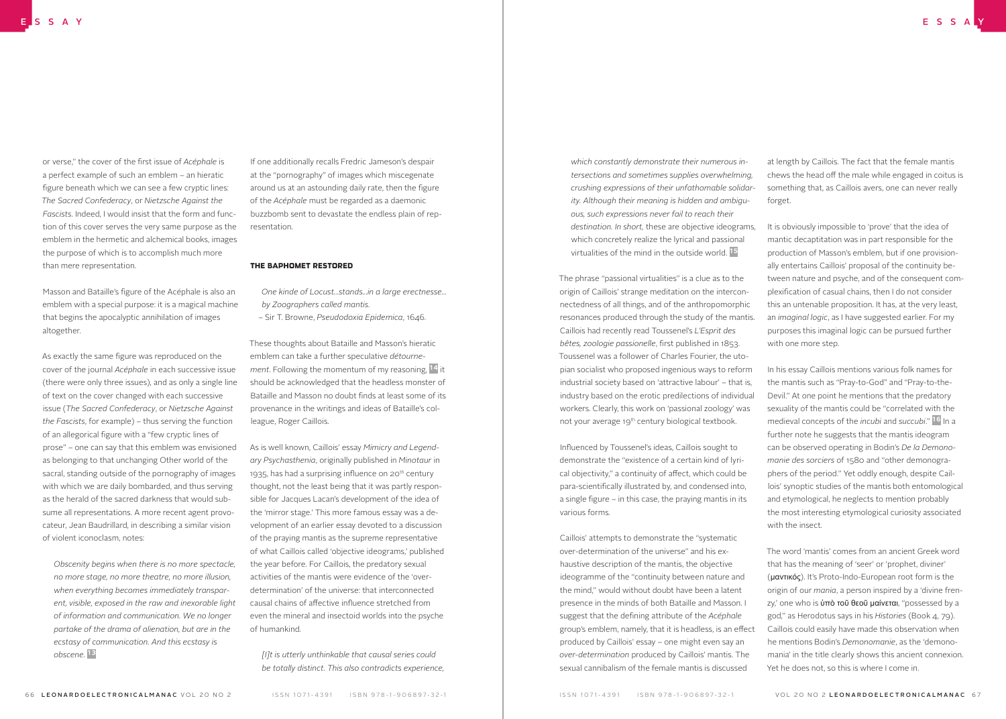or verse," the cover of the first issue of *Acéphale* is a perfect example of such an emblem – an hieratic figure beneath which we can see a few cryptic lines: *The Sacred Confederacy*, or *Nietzsche Against the Fascists*. Indeed, I would insist that the form and function of this cover serves the very same purpose as the emblem in the hermetic and alchemical books, images the purpose of which is to accomplish much more than mere representation.

Masson and Bataille's figure of the Acéphale is also an emblem with a special purpose: it is a magical machine that begins the apocalyptic annihilation of images altogether.

As exactly the same figure was reproduced on the cover of the journal *Acéphale* in each successive issue (there were only three issues), and as only a single line of text on the cover changed with each successive issue (*The Sacred Confederacy*, or *Nietzsche Against the Fascists*, for example) – thus serving the function of an allegorical figure with a "few cryptic lines of prose" – one can say that this emblem was envisioned as belonging to that unchanging Other world of the sacral, standing outside of the pornography of images with which we are daily bombarded, and thus serving as the herald of the sacred darkness that would subsume all representations. A more recent agent provocateur, Jean Baudrillard, in describing a similar vision of violent iconoclasm, notes:

*Obscenity begins when there is no more spectacle, no more stage, no more theatre, no more illusion, when everything becomes immediately transparent, visible, exposed in the raw and inexorable light of information and communication. We no longer partake of the drama of alienation, but are in the ecstasy of communication. And this ecstasy is obscene.* 13

If one additionally recalls Fredric Jameson's despair at the "pornography" of images which miscegenate around us at an astounding daily rate, then the figure of the *Acéphale* must be regarded as a daemonic buzzbomb sent to devastate the endless plain of representation.

### THE BAPHOMET RESTORED

- *One kinde of Locust...stands...in a large erectnesse... by Zoographers called mantis.*
- Sir T. Browne, *Pseudodoxia Epidemica*, 1646.

These thoughts about Bataille and Masson's hieratic emblem can take a further speculative *détournement*. Following the momentum of my reasoning, 14 it should be acknowledged that the headless monster of Bataille and Masson no doubt finds at least some of its provenance in the writings and ideas of Bataille's colleague, Roger Caillois.

As is well known, Caillois' essay *Mimicry and Legendary Psychasthenia*, originally published in *Minotaur* in 1935, has had a surprising influence on  $20<sup>th</sup>$  century thought, not the least being that it was partly responsible for Jacques Lacan's development of the idea of the 'mirror stage.' This more famous essay was a development of an earlier essay devoted to a discussion of the praying mantis as the supreme representative of what Caillois called 'objective ideograms,' published the year before. For Caillois, the predatory sexual activities of the mantis were evidence of the 'overdetermination' of the universe: that interconnected causal chains of affective influence stretched from even the mineral and insectoid worlds into the psyche of humankind.

*[I]t is utterly unthinkable that causal series could be totally distinct. This also contradicts experience,*  *which constantly demonstrate their numerous intersections and sometimes supplies overwhelming, crushing expressions of their unfathomable solidarity. Although their meaning is hidden and ambiguous, such expressions never fail to reach their destination. In short,* these are objective ideograms, which concretely realize the lyrical and passional virtualities of the mind in the outside world. 15

The phrase "passional virtualities" is a clue as to the origin of Caillois' strange meditation on the interconnectedness of all things, and of the anthropomorphic resonances produced through the study of the mantis. Caillois had recently read Toussenel's *L'Esprit des bêtes, zoologie passionelle*, first published in 1853. Toussenel was a follower of Charles Fourier, the utopian socialist who proposed ingenious ways to reform industrial society based on 'attractive labour' – that is, industry based on the erotic predilections of individual workers. Clearly, this work on 'passional zoology' was not your average 19<sup>th</sup> century biological textbook.

Influenced by Toussenel's ideas, Caillois sought to demonstrate the "existence of a certain kind of lyrical objectivity," a continuity of affect, which could be para-scientifically illustrated by, and condensed into, a single figure – in this case, the praying mantis in its various forms.

Caillois' attempts to demonstrate the "systematic over-determination of the universe" and his exhaustive description of the mantis, the objective ideogramme of the "continuity between nature and the mind," would without doubt have been a latent presence in the minds of both Bataille and Masson. I suggest that the defining attribute of the *Acéphale*  group's emblem, namely, that it is headless, is an effect produced by Caillois' essay – one might even say an *over-determination* produced by Caillois' mantis. The sexual cannibalism of the female mantis is discussed

at length by Caillois. The fact that the female mantis chews the head off the male while engaged in coitus is something that, as Caillois avers, one can never really forget.

It is obviously impossible to 'prove' that the idea of mantic decaptitation was in part responsible for the production of Masson's emblem, but if one provisionally entertains Caillois' proposal of the continuity between nature and psyche, and of the consequent complexification of casual chains, then I do not consider this an untenable proposition. It has, at the very least, an *imaginal logic*, as I have suggested earlier. For my purposes this imaginal logic can be pursued further with one more step.

In his essay Caillois mentions various folk names for the mantis such as "Pray-to-God" and "Pray-to-the-Devil." At one point he mentions that the predatory sexuality of the mantis could be "correlated with the medieval concepts of the *incubi* and *succubi*." 16 In a further note he suggests that the mantis ideogram can be observed operating in Bodin's *De la Demonomanie des sorciers* of 1580 and "other demonographers of the period." Yet oddly enough, despite Caillois' synoptic studies of the mantis both entomological and etymological, he neglects to mention probably the most interesting etymological curiosity associated with the insect.

The word 'mantis' comes from an ancient Greek word that has the meaning of 'seer' or 'prophet, diviner' (μαντικός). It's Proto-Indo-European root form is the origin of our *mania*, a person inspired by a 'divine frenzy,' one who is ὑπὸ τοῦ θεοῦ μαίνεται, "possessed by a god," as Herodotus says in his *Histories* (Book 4, 79). Caillois could easily have made this observation when he mentions Bodin's *Demonomanie*, as the 'demonomania' in the title clearly shows this ancient connexion. Yet he does not, so this is where I come in.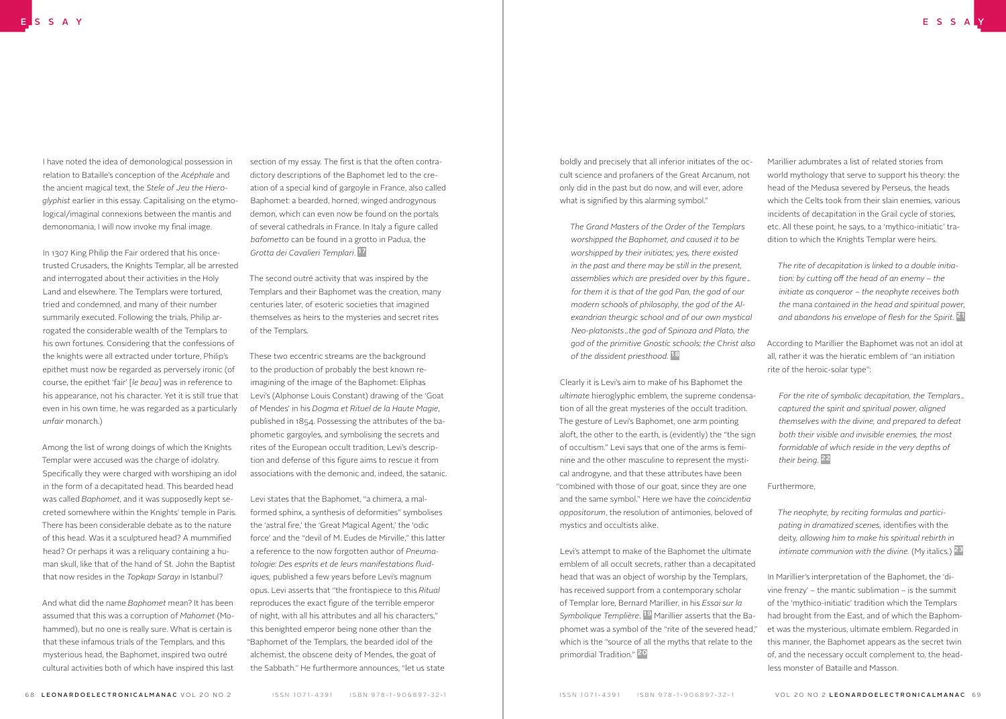I have noted the idea of demonological possession in relation to Bataille's conception of the *Acéphale* and the ancient magical text, the *Stele of Jeu the Hieroglyphist* earlier in this essay. Capitalising on the etymological/imaginal connexions between the mantis and demonomania, I will now invoke my final image.

In 1307 King Philip the Fair ordered that his oncetrusted Crusaders, the Knights Templar, all be arrested and interrogated about their activities in the Holy Land and elsewhere. The Templars were tortured, tried and condemned, and many of their number summarily executed. Following the trials, Philip arrogated the considerable wealth of the Templars to his own fortunes. Considering that the confessions of the knights were all extracted under torture, Philip's epithet must now be regarded as perversely ironic (of course, the epithet 'fair' [*le beau*] was in reference to his appearance, not his character. Yet it is still true that even in his own time, he was regarded as a particularly *unfair* monarch.)

Among the list of wrong doings of which the Knights Templar were accused was the charge of idolatry. Specifically they were charged with worshiping an idol in the form of a decapitated head. This bearded head was called *Baphomet*, and it was supposedly kept secreted somewhere within the Knights' temple in Paris. There has been considerable debate as to the nature of this head. Was it a sculptured head? A mummified head? Or perhaps it was a reliquary containing a human skull, like that of the hand of St. John the Baptist that now resides in the *Topkapı Sarayı* in Istanbul?

And what did the name *Baphomet* mean? It has been assumed that this was a corruption of *Mahomet* (Mohammed), but no one is really sure. What is certain is that these infamous trials of the Templars, and this mysterious head, the Baphomet, inspired two outré cultural activities both of which have inspired this last

section of my essay. The first is that the often contradictory descriptions of the Baphomet led to the creation of a special kind of gargoyle in France, also called Baphomet: a bearded, horned, winged androgynous demon, which can even now be found on the portals of several cathedrals in France. In Italy a figure called *bafometto* can be found in a grotto in Padua, the *Grotta dei Cavalieri Templari*. 17

The second outré activity that was inspired by the Templars and their Baphomet was the creation, many centuries later, of esoteric societies that imagined themselves as heirs to the mysteries and secret rites of the Templars.

These two eccentric streams are the background to the production of probably the best known reimagining of the image of the Baphomet: Eliphas Levi's (Alphonse Louis Constant) drawing of the 'Goat of Mendes' in his *Dogma et Rituel de la Haute Magie*, published in 1854. Possessing the attributes of the baphometic gargoyles, and symbolising the secrets and rites of the European occult tradition, Levi's description and defense of this figure aims to rescue it from associations with the demonic and, indeed, the satanic.

Levi states that the Baphomet, "a chimera, a malformed sphinx, a synthesis of deformities" symbolises the 'astral fire,' the 'Great Magical Agent,' the 'odic force' and the "devil of M. Eudes de Mirville," this latter a reference to the now forgotten author of *Pneumatologie: Des esprits et de leurs manifestations fluidiques,* published a few years before Levi's magnum opus. Levi asserts that "the frontispiece to this *Ritual* reproduces the exact figure of the terrible emperor of night, with all his attributes and all his characters," this benighted emperor being none other than the "Baphomet of the Templars, the bearded idol of the alchemist, the obscene deity of Mendes, the goat of the Sabbath." He furthermore announces, "let us state boldly and precisely that all inferior initiates of the occult science and profaners of the Great Arcanum, not only did in the past but do now, and will ever, adore what is signified by this alarming symbol."

*The Grand Masters of the Order of the Templars worshipped the Baphomet, and caused it to be worshipped by their initiates; yes, there existed in the past and there may be still in the present, assemblies which are presided over by this figure… for them it is that of the god Pan, the god of our modern schools of philosophy, the god of the Alexandrian theurgic school and of our own mystical Neo-platonists…the god of Spinoza and Plato, the god of the primitive Gnostic schools; the Christ also of the dissident priesthood.* 18

Clearly it is Levi's aim to make of his Baphomet the *ultimate* hieroglyphic emblem, the supreme condensation of all the great mysteries of the occult tradition. The gesture of Levi's Baphomet, one arm pointing aloft, the other to the earth, is (evidently) the "the sign of occultism." Levi says that one of the arms is feminine and the other masculine to represent the mystical androgyne, and that these attributes have been "combined with those of our goat, since they are one and the same symbol." Here we have the *coincidentia oppositorum*, the resolution of antimonies, beloved of mystics and occultists alike.

Levi's attempt to make of the Baphomet the ultimate emblem of all occult secrets, rather than a decapitated head that was an object of worship by the Templars, has received support from a contemporary scholar of Templar lore, Bernard Marillier, in his *Essai sur la Symbolique Templière*. 19 Marillier asserts that the Baphomet was a symbol of the "rite of the severed head," which is the "source of all the myths that relate to the primordial Tradition." 20

Marillier adumbrates a list of related stories from world mythology that serve to support his theory: the head of the Medusa severed by Perseus, the heads which the Celts took from their slain enemies, various incidents of decapitation in the Grail cycle of stories, etc. All these point, he says, to a 'mythico-initiatic' tradition to which the Knights Templar were heirs.

*The rite of decapitation is linked to a double initiation: by cutting off the head of an enemy – the initiate as conqueror – the neophyte receives both the* mana *contained in the head and spiritual power, and abandons his envelope of flesh for the Spirit.* 21

According to Marillier the Baphomet was not an idol at all, rather it was the hieratic emblem of "an initiation rite of the heroic-solar type":

*For the rite of symbolic decapitation, the Templars… captured the spirit and spiritual power, aligned themselves with the divine, and prepared to defeat both their visible and invisible enemies, the most formidable of which reside in the very depths of their being.* 22

#### Furthermore,

*The neophyte, by reciting formulas and participating in dramatized scenes,* identifies with the deity*, allowing him to make his spiritual rebirth in intimate communion with the divine.* (My italics.) <sup>23</sup>

In Marillier's interpretation of the Baphomet, the 'divine frenzy' – the mantic sublimation – is the summit of the 'mythico-initiatic' tradition which the Templars had brought from the East, and of which the Baphomet was the mysterious, ultimate emblem. Regarded in this manner, the Baphomet appears as the secret twin of, and the necessary occult complement to, the headless monster of Bataille and Masson.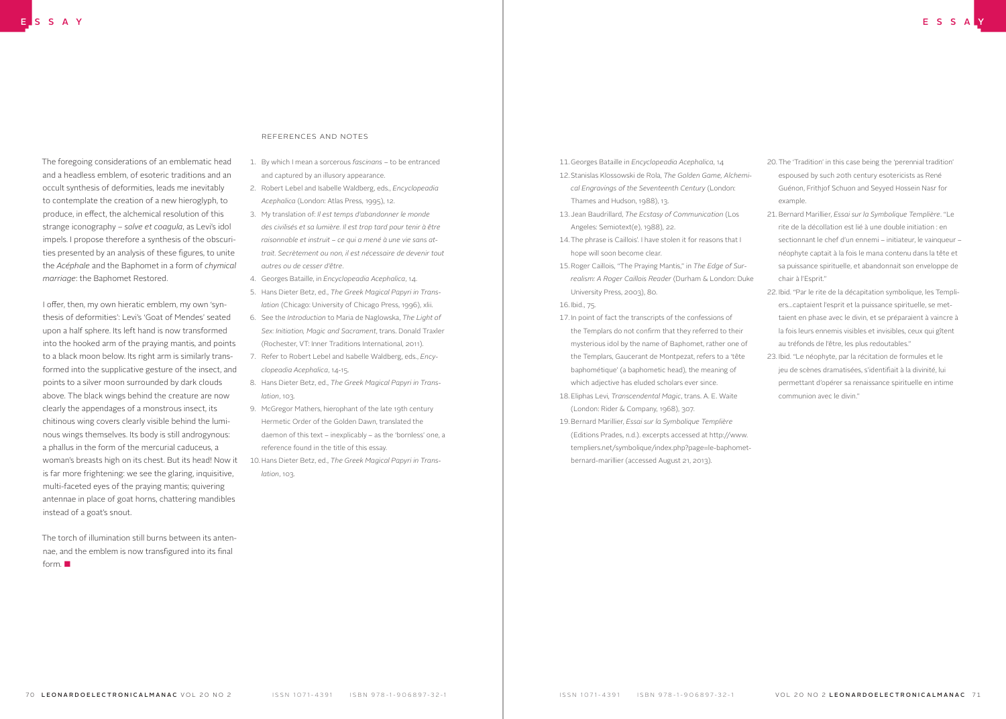The foregoing considerations of an emblematic head and a headless emblem, of esoteric traditions and an occult synthesis of deformities, leads me inevitably to contemplate the creation of a new hieroglyph, to produce, in effect, the alchemical resolution of this strange iconography – *solve et coagula*, as Levi's idol impels. I propose therefore a synthesis of the obscurities presented by an analysis of these figures, to unite the *Acéphale* and the Baphomet in a form of *chymical marriage*: the Baphomet Restored.

I offer, then, my own hieratic emblem, my own 'synthesis of deformities': Levi's 'Goat of Mendes' seated upon a half sphere. Its left hand is now transformed into the hooked arm of the praying mantis, and points to a black moon below. Its right arm is similarly transformed into the supplicative gesture of the insect, and points to a silver moon surrounded by dark clouds above. The black wings behind the creature are now clearly the appendages of a monstrous insect, its chitinous wing covers clearly visible behind the luminous wings themselves. Its body is still androgynous: a phallus in the form of the mercurial caduceus, a woman's breasts high on its chest. But its head! Now it is far more frightening: we see the glaring, inquisitive, multi-faceted eyes of the praying mantis; quivering antennae in place of goat horns, chattering mandibles instead of a goat's snout.

The torch of illumination still burns between its antennae, and the emblem is now transfigured into its final form. ■

## References and Notes

- 1. By which I mean a sorcerous *fascinans* to be entranced and captured by an illusory appearance.
- 2. Robert Lebel and Isabelle Waldberg, eds., *Encyclopeadia Acephalica* (London: Atlas Press, 1995), 12.
- 3. My translation of: *Il est temps d'abandonner le monde des civilisés et sa lumière. Il est trop tard pour tenir à être raisonnable et instruit – ce qui a mené à une vie sans attrait. Secrètement ou non, il est nécessaire de devenir tout autres ou de cesser d'être*.
- 4. Georges Bataille, in *Encyclopeadia Acephalica*, 14.
- 5. Hans Dieter Betz, ed., *The Greek Magical Papyri in Translation* (Chicago: University of Chicago Press, 1996), xlii.
- 6. See the *Introduction* to Maria de Naglowska, *The Light of Sex: Initiation, Magic and Sacrament*, trans. Donald Traxler (Rochester, VT: Inner Traditions International, 2011).
- 7. Refer to Robert Lebel and Isabelle Waldberg, eds., *Encyclopeadia Acephalica*, 14-15.
- 8. Hans Dieter Betz, ed., *The Greek Magical Papyri in Translation*, 103.
- 9. McGregor Mathers, hierophant of the late 19th century Hermetic Order of the Golden Dawn, translated the daemon of this text – inexplicably – as the 'bornless' one, a reference found in the title of this essay.
- 10.Hans Dieter Betz, ed., *The Greek Magical Papyri in Translation*, 103.

11. Georges Bataille in *Encyclopeadia Acephalica*, 14 12. Stanislas Klossowski de Rola, *The Golden Game, Alchemical Engravings of the Seventeenth Century* (London: Thames and Hudson, 1988), 13.

- 13. Jean Baudrillard, *The Ecstasy of Communication* (Los Angeles: Semiotext(e), 1988), 22.
- 14. The phrase is Caillois'. I have stolen it for reasons that I hope will soon become clear.
- 15. Roger Caillois, "The Praying Mantis," in *The Edge of Surrealism: A Roger Caillois Reader* (Durham & London: Duke University Press, 2003), 80.
- 16. Ibid., 75.
- 17. In point of fact the transcripts of the confessions of the Templars do not confirm that they referred to their mysterious idol by the name of Baphomet, rather one of the Templars, Gaucerant de Montpezat, refers to a 'tête baphométique' (a baphometic head), the meaning of which adjective has eluded scholars ever since.
- 18. Eliphas Levi, *Transcendental Magic*, trans. A. E. Waite (London: Rider & Company, 1968), 307.
- 19. Bernard Marillier, *Essai sur la Symbolique Templière* (Editions Prades, n.d.). excerpts accessed at http://www. templiers.net/symbolique/index.php?page=le-baphometbernard-marillier (accessed August 21, 2013).
- 20. The 'Tradition' in this case being the 'perennial tradition' espoused by such 20th century esotericists as René Guénon, Frithjof Schuon and Seyyed Hossein Nasr for example.
- 21. Bernard Marillier, *Essai sur la Symbolique Templière*. "Le rite de la décollation est lié à une double initiation : en sectionnant le chef d'un ennemi – initiateur, le vainqueur – néophyte captait à la fois le mana contenu dans la tête et sa puissance spirituelle, et abandonnait son enveloppe de chair à l'Esprit."
- 22. Ibid. "Par le rite de la décapitation symbolique, les Templiers…captaient l'esprit et la puissance spirituelle, se mettaient en phase avec le divin, et se préparaient à vaincre à la fois leurs ennemis visibles et invisibles, ceux qui gîtent au tréfonds de l'être, les plus redoutables."
- 23. Ibid. "Le néophyte, par la récitation de formules et le jeu de scènes dramatisées, s'identifiait à la divinité, lui permettant d'opérer sa renaissance spirituelle en intime communion avec le divin."